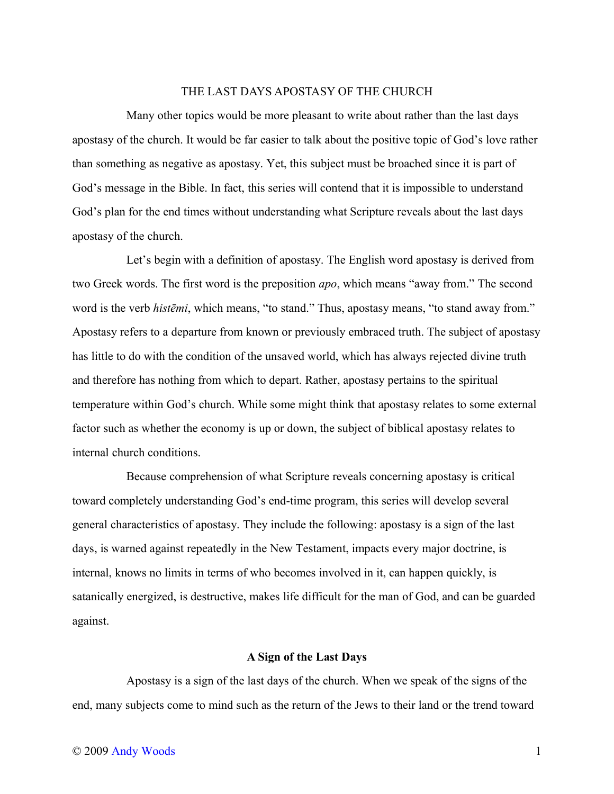## THE LAST DAYS APOSTASY OF THE CHURCH

Many other topics would be more pleasant to write about rather than the last days apostasy of the church. It would be far easier to talk about the positive topic of God's love rather than something as negative as apostasy. Yet, this subject must be broached since it is part of God's message in the Bible. In fact, this series will contend that it is impossible to understand God's plan for the end times without understanding what Scripture reveals about the last days apostasy of the church.

Let's begin with a definition of apostasy. The English word apostasy is derived from two Greek words. The first word is the preposition *apo*, which means "away from." The second word is the verb *histēmi*, which means, "to stand." Thus, apostasy means, "to stand away from." Apostasy refers to a departure from known or previously embraced truth. The subject of apostasy has little to do with the condition of the unsaved world, which has always rejected divine truth and therefore has nothing from which to depart. Rather, apostasy pertains to the spiritual temperature within God's church. While some might think that apostasy relates to some external factor such as whether the economy is up or down, the subject of biblical apostasy relates to internal church conditions.

Because comprehension of what Scripture reveals concerning apostasy is critical toward completely understanding God's end-time program, this series will develop several general characteristics of apostasy. They include the following: apostasy is a sign of the last days, is warned against repeatedly in the New Testament, impacts every major doctrine, is internal, knows no limits in terms of who becomes involved in it, can happen quickly, is satanically energized, is destructive, makes life difficult for the man of God, and can be guarded against.

## **A Sign of the Last Days**

Apostasy is a sign of the last days of the church. When we speak of the signs of the end, many subjects come to mind such as the return of the Jews to their land or the trend toward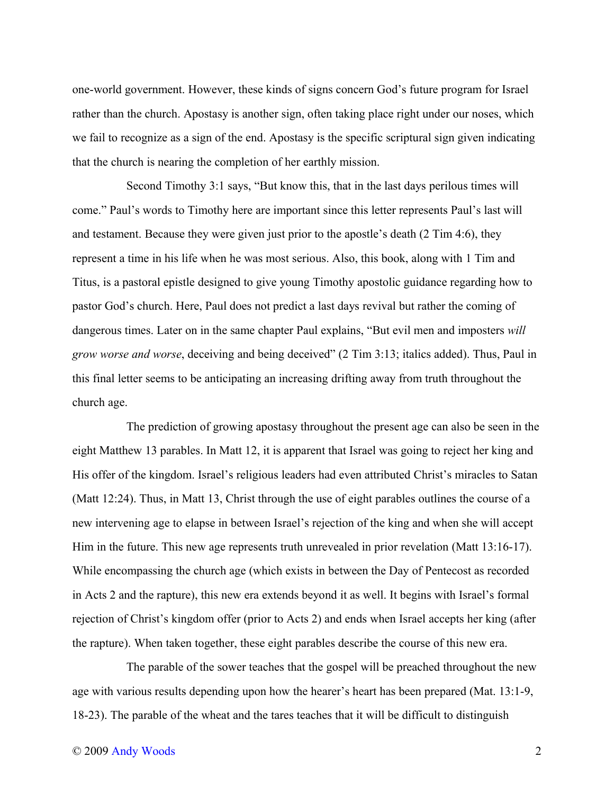one-world government. However, these kinds of signs concern God's future program for Israel rather than the church. Apostasy is another sign, often taking place right under our noses, which we fail to recognize as a sign of the end. Apostasy is the specific scriptural sign given indicating that the church is nearing the completion of her earthly mission.

Second Timothy 3:1 says, "But know this, that in the last days perilous times will come." Paul's words to Timothy here are important since this letter represents Paul's last will and testament. Because they were given just prior to the apostle's death (2 Tim 4:6), they represent a time in his life when he was most serious. Also, this book, along with 1 Tim and Titus, is a pastoral epistle designed to give young Timothy apostolic guidance regarding how to pastor God's church. Here, Paul does not predict a last days revival but rather the coming of dangerous times. Later on in the same chapter Paul explains, "But evil men and imposters *will grow worse and worse*, deceiving and being deceived" (2 Tim 3:13; italics added). Thus, Paul in this final letter seems to be anticipating an increasing drifting away from truth throughout the church age.

The prediction of growing apostasy throughout the present age can also be seen in the eight Matthew 13 parables. In Matt 12, it is apparent that Israel was going to reject her king and His offer of the kingdom. Israel's religious leaders had even attributed Christ's miracles to Satan (Matt 12:24). Thus, in Matt 13, Christ through the use of eight parables outlines the course of a new intervening age to elapse in between Israel's rejection of the king and when she will accept Him in the future. This new age represents truth unrevealed in prior revelation (Matt 13:16-17). While encompassing the church age (which exists in between the Day of Pentecost as recorded in Acts 2 and the rapture), this new era extends beyond it as well. It begins with Israel's formal rejection of Christ's kingdom offer (prior to Acts 2) and ends when Israel accepts her king (after the rapture). When taken together, these eight parables describe the course of this new era.

The parable of the sower teaches that the gospel will be preached throughout the new age with various results depending upon how the hearer's heart has been prepared (Mat. 13:1-9, 18-23). The parable of the wheat and the tares teaches that it will be difficult to distinguish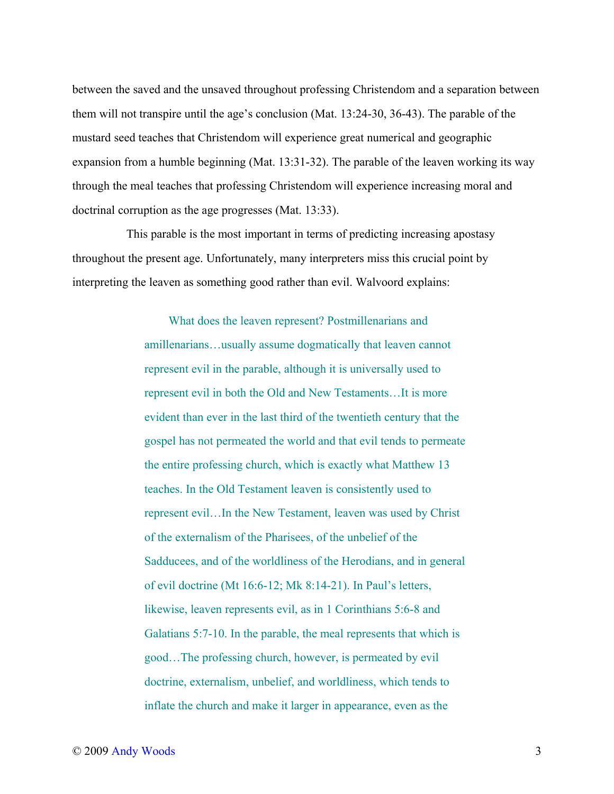between the saved and the unsaved throughout professing Christendom and a separation between them will not transpire until the age's conclusion (Mat. 13:24-30, 36-43). The parable of the mustard seed teaches that Christendom will experience great numerical and geographic expansion from a humble beginning (Mat. 13:31-32). The parable of the leaven working its way through the meal teaches that professing Christendom will experience increasing moral and doctrinal corruption as the age progresses (Mat. 13:33).

This parable is the most important in terms of predicting increasing apostasy throughout the present age. Unfortunately, many interpreters miss this crucial point by interpreting the leaven as something good rather than evil. Walvoord explains:

> What does the leaven represent? Postmillenarians and amillenarians…usually assume dogmatically that leaven cannot represent evil in the parable, although it is universally used to represent evil in both the Old and New Testaments…It is more evident than ever in the last third of the twentieth century that the gospel has not permeated the world and that evil tends to permeate the entire professing church, which is exactly what Matthew 13 teaches. In the Old Testament leaven is consistently used to represent evil…In the New Testament, leaven was used by Christ of the externalism of the Pharisees, of the unbelief of the Sadducees, and of the worldliness of the Herodians, and in general of evil doctrine (Mt 16:6-12; Mk 8:14-21). In Paul's letters, likewise, leaven represents evil, as in 1 Corinthians 5:6-8 and Galatians 5:7-10. In the parable, the meal represents that which is good…The professing church, however, is permeated by evil doctrine, externalism, unbelief, and worldliness, which tends to inflate the church and make it larger in appearance, even as the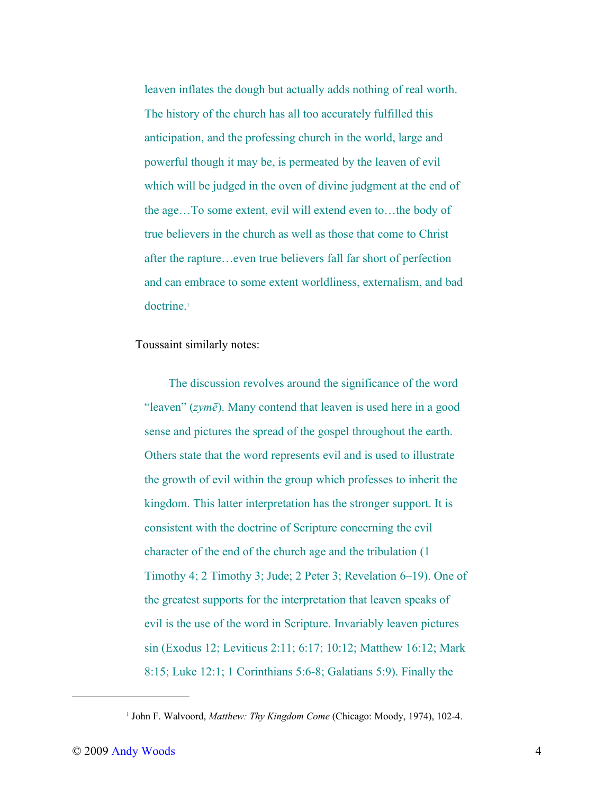leaven inflates the dough but actually adds nothing of real worth. The history of the church has all too accurately fulfilled this anticipation, and the professing church in the world, large and powerful though it may be, is permeated by the leaven of evil which will be judged in the oven of divine judgment at the end of the age…To some extent, evil will extend even to…the body of true believers in the church as well as those that come to Christ after the rapture…even true believers fall far short of perfection and can embrace to some extent worldliness, externalism, and bad doctrine.<sup>[1](#page-3-0)</sup>

Toussaint similarly notes:

The discussion revolves around the significance of the word "leaven" (*zymē*). Many contend that leaven is used here in a good sense and pictures the spread of the gospel throughout the earth. Others state that the word represents evil and is used to illustrate the growth of evil within the group which professes to inherit the kingdom. This latter interpretation has the stronger support. It is consistent with the doctrine of Scripture concerning the evil character of the end of the church age and the tribulation (1 Timothy 4; 2 Timothy 3; Jude; 2 Peter 3; Revelation 6–19). One of the greatest supports for the interpretation that leaven speaks of evil is the use of the word in Scripture. Invariably leaven pictures sin (Exodus 12; Leviticus 2:11; 6:17; 10:12; Matthew 16:12; Mark 8:15; Luke 12:1; 1 Corinthians 5:6-8; Galatians 5:9). Finally the

<span id="page-3-0"></span><sup>&</sup>lt;sup>1</sup> John F. Walvoord, Matthew: Thy Kingdom Come (Chicago: Moody, 1974), 102-4.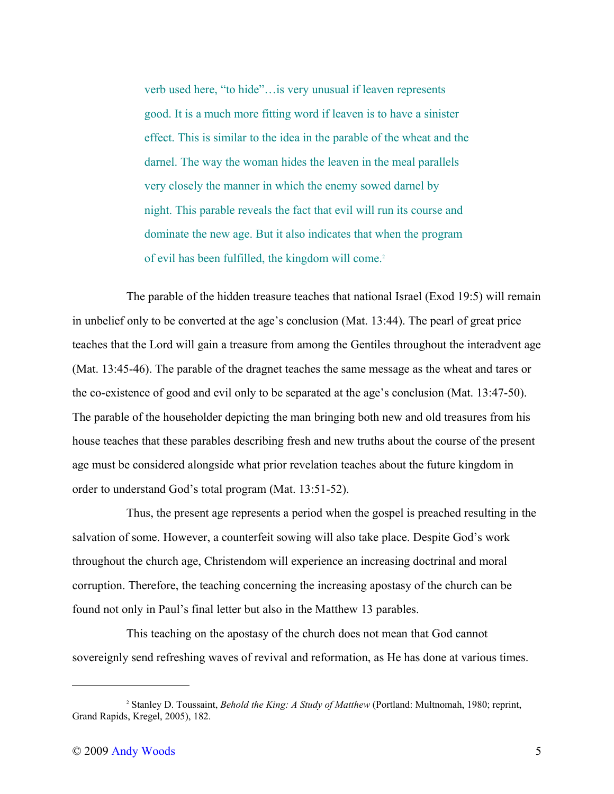verb used here, "to hide"…is very unusual if leaven represents good. It is a much more fitting word if leaven is to have a sinister effect. This is similar to the idea in the parable of the wheat and the darnel. The way the woman hides the leaven in the meal parallels very closely the manner in which the enemy sowed darnel by night. This parable reveals the fact that evil will run its course and dominate the new age. But it also indicates that when the program of evil has been fulfilled, the kingdom will come.<sup>[2](#page-4-0)</sup>

The parable of the hidden treasure teaches that national Israel (Exod 19:5) will remain in unbelief only to be converted at the age's conclusion (Mat. 13:44). The pearl of great price teaches that the Lord will gain a treasure from among the Gentiles throughout the interadvent age (Mat. 13:45-46). The parable of the dragnet teaches the same message as the wheat and tares or the co-existence of good and evil only to be separated at the age's conclusion (Mat. 13:47-50). The parable of the householder depicting the man bringing both new and old treasures from his house teaches that these parables describing fresh and new truths about the course of the present age must be considered alongside what prior revelation teaches about the future kingdom in order to understand God's total program (Mat. 13:51-52).

Thus, the present age represents a period when the gospel is preached resulting in the salvation of some. However, a counterfeit sowing will also take place. Despite God's work throughout the church age, Christendom will experience an increasing doctrinal and moral corruption. Therefore, the teaching concerning the increasing apostasy of the church can be found not only in Paul's final letter but also in the Matthew 13 parables.

This teaching on the apostasy of the church does not mean that God cannot sovereignly send refreshing waves of revival and reformation, as He has done at various times.

<span id="page-4-0"></span><sup>2</sup> Stanley D. Toussaint, *Behold the King: A Study of Matthew* (Portland: Multnomah, 1980; reprint, Grand Rapids, Kregel, 2005), 182.